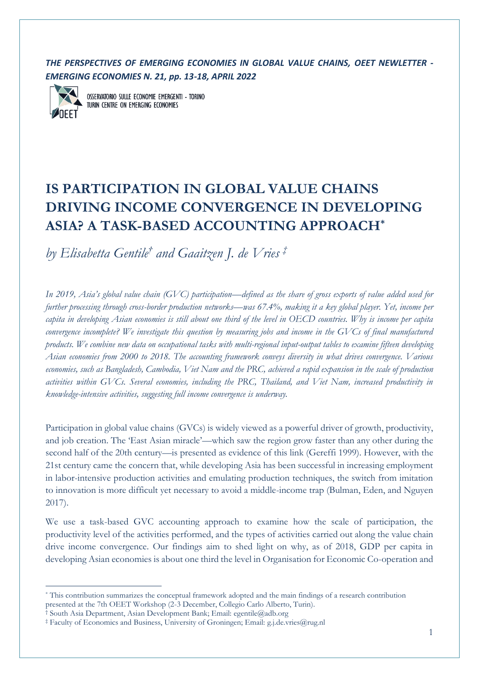*THE PERSPECTIVES OF EMERGING ECONOMIES IN GLOBAL VALUE CHAINS, OEET NEWLETTER - EMERGING ECONOMIES N. 21, pp. 13-18, APRIL 2022*



OSSERVATORIO SULLE ECONOMIE EMERGENTI - TORINO TURIN CENTRE ON EMERGING ECONOMIES

## **IS PARTICIPATION IN GLOBAL VALUE CHAINS DRIVING INCOME CONVERGENCE IN DEVELOPING ASIA? A TASK-BASED ACCOUNTING APPROACH\***

*by Elisabetta Gentile† and Gaaitzen J. de Vries ‡*

*In 2019, Asia's global value chain (GVC) participation—defined as the share of gross exports of value added used for further processing through cross-border production networks—was 67.4%, making it a key global player. Yet, income per capita in developing Asian economies is still about one third of the level in OECD countries. Why is income per capita convergence incomplete? We investigate this question by measuring jobs and income in the GVCs of final manufactured products. We combine new data on occupational tasks with multi-regional input-output tables to examine fifteen developing Asian economies from 2000 to 2018. The accounting framework conveys diversity in what drives convergence. Various economies, such as Bangladesh, Cambodia, Viet Nam and the PRC, achieved a rapid expansion in the scale of production activities within GVCs. Several economies, including the PRC, Thailand, and Viet Nam, increased productivity in knowledge-intensive activities, suggesting full income convergence is underway.*

Participation in global value chains (GVCs) is widely viewed as a powerful driver of growth, productivity, and job creation. The 'East Asian miracle'—which saw the region grow faster than any other during the second half of the 20th century—is presented as evidence of this link (Gereffi 1999). However, with the 21st century came the concern that, while developing Asia has been successful in increasing employment in labor-intensive production activities and emulating production techniques, the switch from imitation to innovation is more difficult yet necessary to avoid a middle-income trap (Bulman, Eden, and Nguyen 2017).

We use a task-based GVC accounting approach to examine how the scale of participation, the productivity level of the activities performed, and the types of activities carried out along the value chain drive income convergence. Our findings aim to shed light on why, as of 2018, GDP per capita in developing Asian economies is about one third the level in Organisation for Economic Co-operation and

<sup>\*</sup> This contribution summarizes the conceptual framework adopted and the main findings of a research contribution presented at the 7th OEET Workshop (2-3 December, Collegio Carlo Alberto, Turin).

<sup>†</sup> South Asia Department, Asian Development Bank; Email: egentile@adb.org

<sup>‡</sup> Faculty of Economics and Business, University of Groningen; Email: g.j.de.vries@rug.nl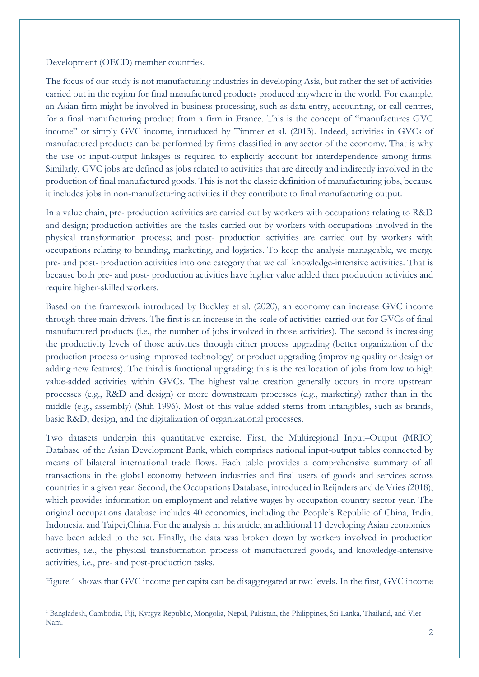Development (OECD) member countries.

The focus of our study is not manufacturing industries in developing Asia, but rather the set of activities carried out in the region for final manufactured products produced anywhere in the world. For example, an Asian firm might be involved in business processing, such as data entry, accounting, or call centres, for a final manufacturing product from a firm in France. This is the concept of "manufactures GVC income" or simply GVC income, introduced by Timmer et al. (2013). Indeed, activities in GVCs of manufactured products can be performed by firms classified in any sector of the economy. That is why the use of input-output linkages is required to explicitly account for interdependence among firms. Similarly, GVC jobs are defined as jobs related to activities that are directly and indirectly involved in the production of final manufactured goods. This is not the classic definition of manufacturing jobs, because it includes jobs in non-manufacturing activities if they contribute to final manufacturing output.

In a value chain, pre- production activities are carried out by workers with occupations relating to R&D and design; production activities are the tasks carried out by workers with occupations involved in the physical transformation process; and post- production activities are carried out by workers with occupations relating to branding, marketing, and logistics. To keep the analysis manageable, we merge pre- and post- production activities into one category that we call knowledge-intensive activities. That is because both pre- and post- production activities have higher value added than production activities and require higher-skilled workers.

Based on the framework introduced by Buckley et al. (2020), an economy can increase GVC income through three main drivers. The first is an increase in the scale of activities carried out for GVCs of final manufactured products (i.e., the number of jobs involved in those activities). The second is increasing the productivity levels of those activities through either process upgrading (better organization of the production process or using improved technology) or product upgrading (improving quality or design or adding new features). The third is functional upgrading; this is the reallocation of jobs from low to high value-added activities within GVCs. The highest value creation generally occurs in more upstream processes (e.g., R&D and design) or more downstream processes (e.g., marketing) rather than in the middle (e.g., assembly) (Shih 1996). Most of this value added stems from intangibles, such as brands, basic R&D, design, and the digitalization of organizational processes.

Two datasets underpin this quantitative exercise. First, the Multiregional Input–Output (MRIO) Database of the Asian Development Bank, which comprises national input-output tables connected by means of bilateral international trade flows. Each table provides a comprehensive summary of all transactions in the global economy between industries and final users of goods and services across countries in a given year. Second, the Occupations Database, introduced in Reijnders and de Vries (2018), which provides information on employment and relative wages by occupation-country-sector-year. The original occupations database includes 40 economies, including the People's Republic of China, India, Indonesia, and Taipei,China. For the analysis in this article, an additional 11 developing Asian economies<sup>1</sup> have been added to the set. Finally, the data was broken down by workers involved in production activities, i.e., the physical transformation process of manufactured goods, and knowledge-intensive activities, i.e., pre- and post-production tasks.

Figure 1 shows that GVC income per capita can be disaggregated at two levels. In the first, GVC income

<sup>1</sup> Bangladesh, Cambodia, Fiji, Kyrgyz Republic, Mongolia, Nepal, Pakistan, the Philippines, Sri Lanka, Thailand, and Viet Nam.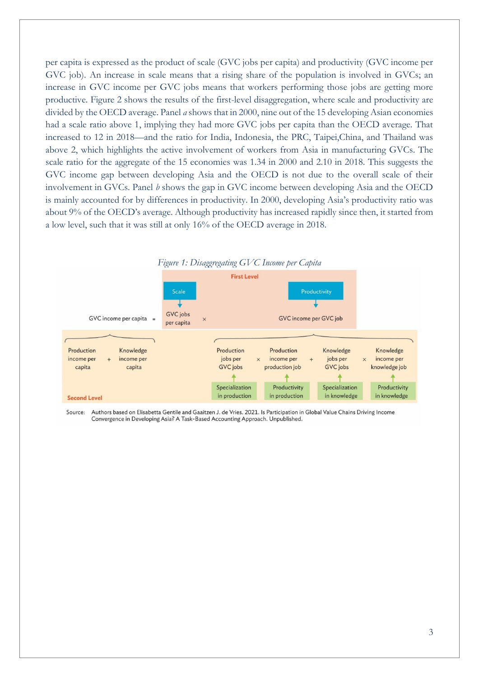per capita is expressed as the product of scale (GVC jobs per capita) and productivity (GVC income per GVC job). An increase in scale means that a rising share of the population is involved in GVCs; an increase in GVC income per GVC jobs means that workers performing those jobs are getting more productive. Figure 2 shows the results of the first-level disaggregation, where scale and productivity are divided by the OECD average. Panel *a* shows that in 2000, nine out of the 15 developing Asian economies had a scale ratio above 1, implying they had more GVC jobs per capita than the OECD average. That increased to 12 in 2018—and the ratio for India, Indonesia, the PRC, Taipei,China, and Thailand was above 2, which highlights the active involvement of workers from Asia in manufacturing GVCs. The scale ratio for the aggregate of the 15 economies was 1.34 in 2000 and 2.10 in 2018. This suggests the GVC income gap between developing Asia and the OECD is not due to the overall scale of their involvement in GVCs. Panel *b* shows the gap in GVC income between developing Asia and the OECD is mainly accounted for by differences in productivity. In 2000, developing Asia's productivity ratio was about 9% of the OECD's average. Although productivity has increased rapidly since then, it started from a low level, such that it was still at only 16% of the OECD average in 2018.



Source: Authors based on Elisabetta Gentile and Gaaitzen J. de Vries. 2021. Is Participation in Global Value Chains Driving Income Convergence in Developing Asia? A Task-Based Accounting Approach. Unpublished.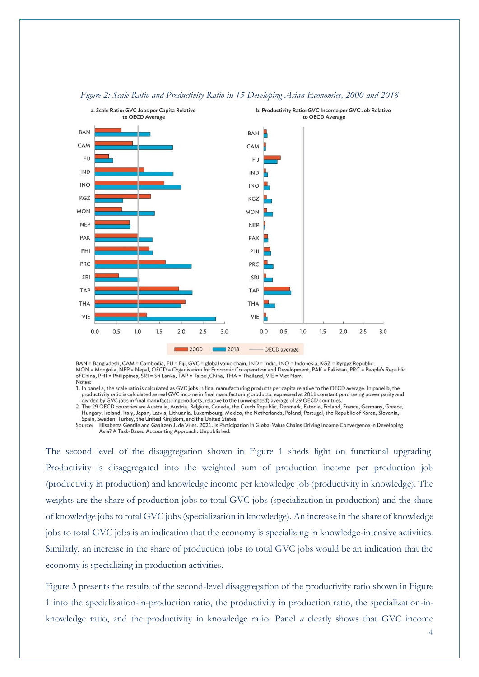

## *Figure 2: Scale Ratio and Productivity Ratio in 15 Developing Asian Economies, 2000 and 2018*

BAN = Bangladesh, CAM = Cambodia, FIJ = Fiji, GVC = global value chain, IND = India, INO = Indonesia, KGZ = Kyrgyz Republic, MON = Mongolia, NEP = Nepal, OECD = Organisation for Economic Co-operation and Development, PAK = Pakistan, PRC = People's Republic<br>of China, PHI = Philippines, SRI = Sri Lanka, TAP = Taipei, China, THA = Thailand, VIE = V Notes:

1. In panel a, the scale ratio is calculated as GVC jobs in final manufacturing products per capita relative to the OECD average. In panel b, the m putching productivity ratio is calculated as real GVC income in final manufacturing products, expressed at 2011 constant purchasing power parity and<br>divided by GVC jobs in final manufacturing products, relative to the (u

2. The 29 OECD countries are Australia, Austria, Belgium, Canada, the Czech Republic, Denmark, Estonia, Finland, France, Germany, Greece, Hungary, Ireland, Italy, Japan, Latvia, Lithuania, Luxembourg, Mexico, the Netherlands, Poland, Portugal, the Republic of Korea, Slovenia, Spain, Sweden, Turkey, the United Kingdom, and the United States.

Source: Elisabetta Gentile and Gaaitzen J. de Vries. 2021. Is Participation in Global Value Chains Driving Income Convergence in Developing Asia? A Task-Based Accounting Approach. Unpublished.

The second level of the disaggregation shown in Figure 1 sheds light on functional upgrading. Productivity is disaggregated into the weighted sum of production income per production job (productivity in production) and knowledge income per knowledge job (productivity in knowledge). The weights are the share of production jobs to total GVC jobs (specialization in production) and the share of knowledge jobs to total GVC jobs (specialization in knowledge). An increase in the share of knowledge jobs to total GVC jobs is an indication that the economy is specializing in knowledge-intensive activities. Similarly, an increase in the share of production jobs to total GVC jobs would be an indication that the economy is specializing in production activities.

Figure 3 presents the results of the second-level disaggregation of the productivity ratio shown in Figure 1 into the specialization-in-production ratio, the productivity in production ratio, the specialization-inknowledge ratio, and the productivity in knowledge ratio. Panel *a* clearly shows that GVC income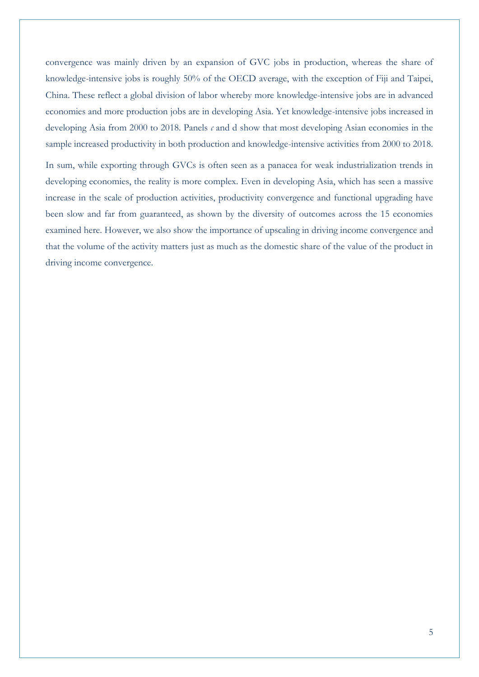convergence was mainly driven by an expansion of GVC jobs in production, whereas the share of knowledge-intensive jobs is roughly 50% of the OECD average, with the exception of Fiji and Taipei, China. These reflect a global division of labor whereby more knowledge-intensive jobs are in advanced economies and more production jobs are in developing Asia. Yet knowledge-intensive jobs increased in developing Asia from 2000 to 2018. Panels *c* and d show that most developing Asian economies in the sample increased productivity in both production and knowledge-intensive activities from 2000 to 2018.

In sum, while exporting through GVCs is often seen as a panacea for weak industrialization trends in developing economies, the reality is more complex. Even in developing Asia, which has seen a massive increase in the scale of production activities, productivity convergence and functional upgrading have been slow and far from guaranteed, as shown by the diversity of outcomes across the 15 economies examined here. However, we also show the importance of upscaling in driving income convergence and that the volume of the activity matters just as much as the domestic share of the value of the product in driving income convergence.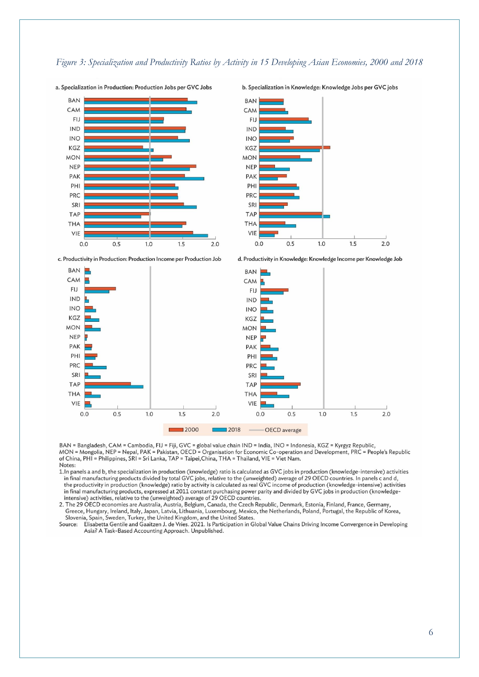## *Figure 3: Specialization and Productivity Ratios by Activity in 15 Developing Asian Economies, 2000 and 2018*



**BAN** CAM FIJ **IND INO** KGZ **MON NEP** PAK PHI PRC SRI **TAP THA VIE**  $0.0$  $0.5$  $1.0$  $1.5$  $2.0$ 

c. Productivity in Production: Production Income per Production Job



BAN = Bangladesh, CAM = Cambodia, FIJ = Fiji, GVC = global value chain IND = India, INO = Indonesia, KGZ = Kyrgyz Republic,<br>MON = Mongolia, NEP = Nepal, PAK = Pakistan, OECD = Organisation for Economic Co-operation and Dev Notes:

1. In panels a and b, the specialization in production (knowledge) ratio is calculated as GVC jobs in production (knowledge-intensive) activities in final manufacturing products divided by total GVC jobs, relative to the (unweighted) average of 29 OECD countries. In panels c and d, the productivity in production (knowledge) ratio by activity is calculated as real GVC income of production (knowledge-intensive) activities in final manufacturing products, expressed at 2011 constant purchasing power parity and divided by GVC jobs in production (knowledge intensive) activities, relative to the (unweighted) average of 29 OECD countries.

2. The 29 OECD economies are Australia, Austria, Belgium, Canada, the Czech Republic, Denmark, Estonia, Finland, France, Germany, Greece, Hungary, Ireland, Italy, Japan, Latvia, Lithuania, Luxembourg, Mexico, the Netherlands, Poland, Portugal, the Republic of Korea, Slovenia, Spain, Sweden, Turkey, the United Kingdom, and the United States

Source: Elisabetta Gentile and Gaaitzen J. de Vries. 2021. Is Participation in Global Value Chains Driving Income Convergence in Developing Asia? A Task-Based Accounting Approach. Unpublished.

b. Specialization in Knowledge: Knowledge Jobs per GVC jobs